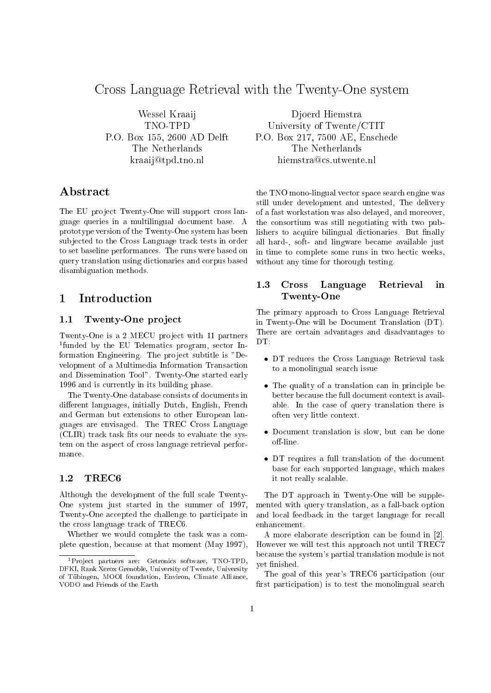# Cross Language Retrieval with the Twenty-One system

Wessel Kraaij TNO-TPD P.O. Box 155, 2600 AD Delft The Netherlands kraaij@tpd.tno.nl

### Abstract

The EU project Twenty-One will support cross language queries in a multilingual document base. A prototype version of the Twenty-One system has been sub jected to the Cross Language track tests in order to set baseline performances. The runs were based on query translation using dictionaries and corpus based disambiguation methods.

# 1 Introduction

### 1.1Twenty-One project

Twenty-One is a 2 MECU project with 11 partners <sup>1</sup> funded by the EU Telematics program, sector Information Engineering. The project subtitle is "Development of a Multimedia Information Transaction and Dissemination Tool". Twenty-One started early 1996 and is currently in its building phase.

The Twenty-One database consists of documents in different languages, initially Dutch, English, French and German but extensions to other European languages are envisaged. The TREC Cross Language  $(CLIR)$  track task fits our needs to evaluate the system on the aspect of cross language retrieval performance.

### 1.2TREC6

Although the development of the full scale Twenty-One system just started in the summer of 1997, Twenty-One accepted the challenge to participate in the cross language track of TREC6.

Whether we would complete the task was a complete question, because at that moment (May 1997),

Djoerd Hiemstra University of Twente/CTIT P.O. Box 217, 7500 AE, Enschede The Netherlands hiemstra@cs.utwente.nl

the TNO mono-lingual vector space search engine was still under development and untested, The delivery of a fast workstation was also delayed, and moreover, the consortium was still negotiating with two publishers to acquire bilingual dictionaries. But finally all hard-, soft- and lingware became available just in time to complete some runs in two hectic weeks, without any time for thorough testing.

### 1.3 Cross Language Retrieval in  $\sim$   $\sim$   $\sim$   $\sim$   $\sim$   $\sim$   $\sim$   $\sim$

The primary approach to Cross Language Retrieval in Twenty-One will be Document Translation (DT). There are certain advantages and disadvantages to DT.

- DT reduces the Cross Language Retrieval task to a monolingual search issue
- The quality of a translation can in principle be better because the full document context is available. In the case of query translation there is often very little context.
- Document translation is slow, but can be done off-line.
- DT requires a full translation of the document base for each supported language, which makes it not really scalable.

The DT approach in Twenty-One will be supplemented with query translation, as a fall-back option and local feedback in the target language for recall enhancement.

A more elaborate description can be found in [2]. However we will test this approach not until TREC7 because the system's partial translation module is not yet finished.

The goal of this year's TREC6 participation (our first participation) is to test the monolingual search

<sup>&</sup>lt;sup>1</sup>Project partners are: Getronics software, TNO-TPD, DFKI, Rank Xerox Grenoble, University of Twente, University of Tubingen, MOOI foundation, Environ, Climate Alliance, VODO and Friends of the Earth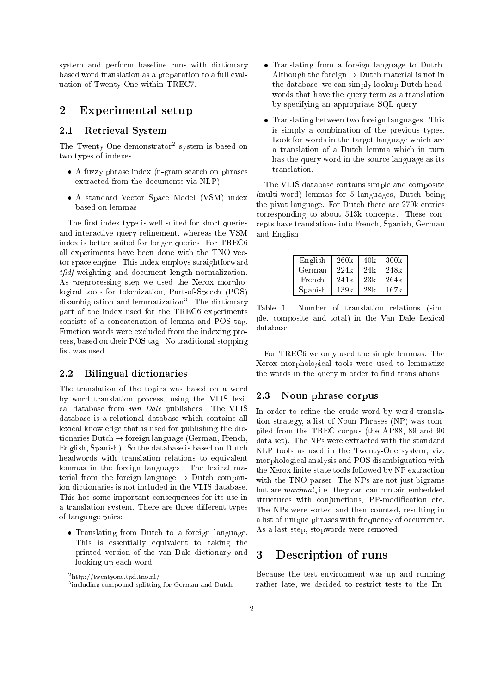system and perform baseline runs with dictionary based word translation as a preparation to a full evaluation of Twenty-One within TREC7.

### 2 Experimental setup

#### 2.1Retrieval System

The Twenty-One demonstrator<sup>2</sup> system is based on two types of indexes:

- A fuzzy phrase index (n-gram search on phrases extracted from the documents via NLP).
- A standard Vector Space Model (VSM) index based on lemmas

The first index type is well suited for short queries and interactive query refinement, whereas the VSM index is better suited for longer queries. For TREC6 all experiments have been done with the TNO vector space engine. This index employs straightforward that weighting and document length normalization. As preprocessing step we used the Xerox morphological tools for tokenization, Part-of-Speech (POS) disambiguation and lemmatization . The dictionary part of the index used for the TREC6 experiments consists of a concatenation of lemma and POS tag. Function words were excluded from the indexing process, based on their POS tag. No traditional stopping list was used.

#### 2.2Bilingual dictionaries

The translation of the topics was based on a word by word translation process, using the VLIS lexical database from van Dale publishers. The VLIS database is a relational database which contains all lexical knowledge that is used for publishing the dictionaries  $Dutch \rightarrow foreign language (German, French,$ English, Spanish). So the database is based on Dutch headwords with translation relations to equivalent lemmas in the foreign languages. The lexical material from the foreign language  $\rightarrow$  Dutch companion dictionaries is not included in the VLIS database. This has some important consequences for its use in a translation system. There are three different types of language pairs:

• Translating from Dutch to a foreign language. This is essentially equivalent to taking the printed version of the van Dale dictionary and looking up each word.

- Translating from a foreign language to Dutch. Although the foreign  $\rightarrow$  Dutch material is not in the database, we can simply lookup Dutch headwords that have the query term as a translation by specifying an appropriate SQL query.
- Translating between two foreign languages. This is simply a combination of the previous types. Look for words in the target language which are a translation of a Dutch lemma which in turn has the query word in the source language as its translation.

The VLIS database contains simple and composite (multi-word) lemmas for 5 languages, Dutch being the pivot language. For Dutch there are 270k entries corresponding to about 513k concepts. These concepts have translations into French, Spanish, German and English.

| English | 260k | 40k  | -300k |
|---------|------|------|-------|
| German  | 224k | 24k  | 248k  |
| French  | 241k | 2.3k | 264k  |
| Spanish | 139k | -28k | 167k  |

Table 1: Number of translation relations (simple, composite and total) in the Van Dale Lexical database

For TREC6 we only used the simple lemmas. The Xerox morphological tools were used to lemmatize the words in the query in order to find translations.

#### 2.3Noun phrase corpus

In order to refine the crude word by word translation strategy, a list of Noun Phrases (NP) was compiled from the TREC corpus (the AP88, 89 and 90 data set). The NPs were extracted with the standard NLP tools as used in the Twenty-One system, viz. morphological analysis and POS disambiguation with the Xerox finite state tools followed by NP extraction with the TNO parser. The NPs are not just bigrams but are *maximal*, i.e. they can can contain embedded structures with conjunctions, PP-modification etc. The NPs were sorted and then counted, resulting in a list of unique phrases with frequency of occurrence. As a last step, stopwords were removed.

### 3 Description of runs

Because the test environment was up and running rather late, we decided to restrict tests to the En-

<sup>2</sup> http://twentyone.tpd.tno.nl/

including compound splitting for German and Dutch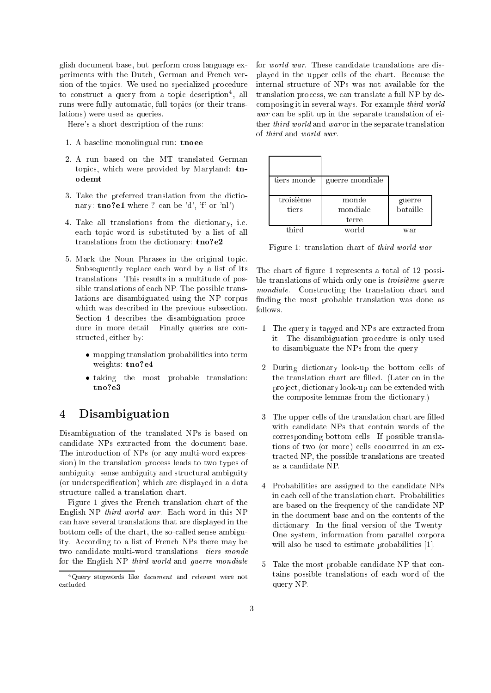glish document base, but perform cross language experiments with the Dutch, German and French version of the topics. We used no specialized procedure to construct a query from a topic description , all runs were fully automatic, full topics (or their translations) were used as queries.

Here's a short description of the runs:

- 1. A baseline monolingual run: tnoee
- 2. A run based on the MT translated German topics, which were provided by Maryland: tnodemt
- 3. Take the preferred translation from the dictionary:  $\text{tno?e1}$  where ? can be 'd', 'f' or 'nl')
- 4. Take all translations from the dictionary, i.e. each topic word is substituted by a list of all translations from the dictionary: tno?e2
- 5. Mark the Noun Phrases in the original topic. Subsequently replace each word by a list of its translations. This results in a multitude of possible translations of each NP. The possible translations are disambiguated using the NP corpus which was described in the previous subsection. Section 4 describes the disambiguation procedure in more detail. Finally queries are constructed, either by:
	- mapping translation probabilities into term weights: tno?e4
	- taking the most probable translation:

### $\overline{4}$ **Disambiguation**

Disambiguation of the translated NPs is based on candidate NPs extracted from the document base. The introduction of NPs (or any multi-word expression) in the translation process leads to two types of ambiguity: sense ambiguity and structural ambiguity (or underspecication) which are displayed in a data structure called a translation chart.

Figure 1 gives the French translation chart of the English NP third world war. Each word in this NP can have several translations that are displayed in the bottom cells of the chart, the so-called sense ambiguity. According to a list of French NPs there may be two candidate multi-word translations: tiers monde for the English NP third world and guerre mondiale

for world war. These candidate translations are displayed in the upper cells of the chart. Because the internal structure of NPs was not available for the translation process, we can translate a full NP by decomposing it in several ways. For example third world war can be split up in the separate translation of either third world and war or in the separate translation

| tiers monde | guerre mondiale |          |
|-------------|-----------------|----------|
| troisième   | monde           | guerre   |
| tiers       | mondiale        | bataille |
|             | terre           |          |
| third       | world           | war      |

Figure 1: translation chart of third world war

The chart of figure 1 represents a total of 12 possible translations of which only one is troisième guerre mondiale. Constructing the translation chart and finding the most probable translation was done as follows.

- 1. The query is tagged and NPs are extracted from it. The disambiguation procedure is only used to disambiguate the NPs from the query
- 2. During dictionary look-up the bottom cells of the translation chart are filled. (Later on in the pro ject, dictionary look-up can be extended with the composite lemmas from the dictionary.)
- 3. The upper cells of the translation chart are filled with candidate NPs that contain words of the corresponding bottom cells. If possible translations of two (or more) cells coocurred in an extracted NP, the possible translations are treated as a candidate NP.
- 4. Probabilities are assigned to the candidate NPs in each cell of the translation chart. Probabilities are based on the frequency of the candidate NP in the document base and on the contents of the dictionary. In the final version of the Twenty-One system, information from parallel corpora will also be used to estimate probabilities [1].
- 5. Take the most probable candidate NP that contains possible translations of each word of the query NP.

<sup>4</sup>Query stopwords like document and relevant were not excluded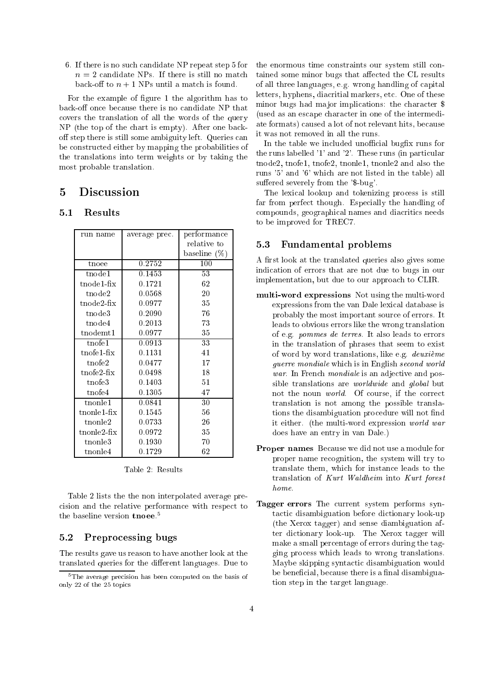6. If there is no such candidate NP repeat step 5 for  $n = 2$  candidate NPs. If there is still no match back-off to  $n + 1$  NPs until a match is found.

For the example of figure 1 the algorithm has to back-off once because there is no candidate NP that covers the translation of all the words of the query NP (the top of the chart is empty). After one backoff step there is still some ambiguity left. Queries can be constructed either by mapping the probabilities of the translations into term weights or by taking the most probable translation.

# $\mathbf{5}$

### 5.1Results

| run name           | average prec. | performance     |  |
|--------------------|---------------|-----------------|--|
|                    |               | relative to     |  |
|                    |               | baseline $(\%)$ |  |
| tnoee              | 0.2752        | 100             |  |
| tnode1             | 0.1453        | 53              |  |
| tnodel-fix         | 0.1721        | 62              |  |
| tnode2             | 0.0568        | 20              |  |
| $t$ node $2$ -fix  | 0.0977        | 35              |  |
| $t$ node $3$       | 0.2090        | 76              |  |
| tnode4             | 0.2013        | 73              |  |
| $t$ nodemt $1$     | 0.0977        | 35              |  |
| $t$ nofel          | 0.0913        | 33              |  |
| $t$ nofel-fix      | 0.1131        | 41              |  |
| $t$ nofe $2$       | 0.0477        | 17              |  |
| t nofe2-fix        | 0.0498        | 18              |  |
| $t$ nofe $3$       | 0.1403        | 51              |  |
| tnofe4             | 0.1305        | 47              |  |
| tnonle1            | 0.0841        | 30              |  |
| $t$ non $let$ -fix | 0.1545        | 56              |  |
| $t$ nonle $2$      | 0.0733        | 26              |  |
| $t$ nonle $2$ -fix | 0.0972        | 35              |  |
| $t$ nonle $3$      | 0.1930        | 70              |  |
| $t$ nonle $4$      | 0.1729        | 62              |  |

Table 2: Results

Table 2 lists the the non interpolated average precision and the relative performance with respect to the baseline version  $t$ noee.<sup>5</sup>

#### 5.2Preprocessing bugs

The results gave us reason to have another look at the translated queries for the different languages. Due to

the enormous time constraints our system still contained some minor bugs that affected the CL results of all three languages, e.g. wrong handling of capital letters, hyphens, diacritial markers, etc. One of these minor bugs had major implications: the character \$ (used as an escape character in one of the intermediate formats) caused a lot of not relevant hits, because it was not removed in all the runs.

In the table we included unofficial bugfix runs for the runs labelled '1' and '2'. These runs (in particular tnode2, tnofe1, tnofe2, tnonle1, tnonle2 and also the runs '5' and '6' which are not listed in the table) all suffered severely from the '\$-bug'.

The lexical lookup and tokenizing process is still far from perfect though. Especially the handling of compounds, geographical names and diacritics needs to be improved for TREC7.

#### $5.3$ Fundamental problems

A first look at the translated queries also gives some indication of errors that are not due to bugs in our implementation, but due to our approach to CLIR.

- multi-word expressions in multiples and multi-word expressions from the van Dale lexical database is probably the most important source of errors. It leads to obvious errors like the wrong translation of e.g. pommes de terres. It also leads to errors in the translation of phrases that seem to exist of word by word translations, like e.g. deuxième guerre mondiale which is in English second world war. In French *mondiale* is an adjective and possible translations are worldwide and global but not the noun world. Of course, if the correct translation is not among the possible translations the disambiguation procedure will not find it either. (the multi-word expression world war does have an entry in van Dale.)
- Proper names Because we did not use a module for proper name recognition, the system will try to translate them, which for instance leads to the translation of Kurt Waldheim into Kurt forest home.
- Tagger errors The current system performs syntactic disambiguation before dictionary look-up (the Xerox tagger) and sense diambiguation after dictionary look-up. The Xerox tagger will make a small percentage of errors during the tagging process which leads to wrong translations. Maybe skipping syntactic disambiguation would be beneficial, because there is a final disambiguation step in the target language.

<sup>5</sup>The average precision has been computed on the basis of only 22 of the 25 topics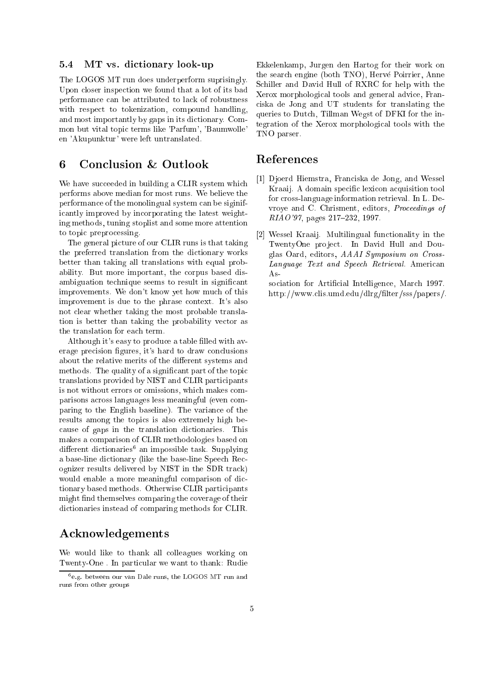#### 5.4MT vs. dictionary look-up

The LOGOS MT run does underperform suprisingly. Upon closer inspection we found that a lot of its bad performance can be attributed to lack of robustness with respect to tokenization, compound handling, and most importantly by gaps in its dictionary. Common but vital topic terms like 'Parfum', 'Baumwolle' en 'Akupunktur' were left untranslated.

# 6 Conclusion & Outlook

We have succeeded in building a CLIR system which performs above median for most runs. We believe the performance of the monolingual system can be siginificantly improved by incorporating the latest weighting methods, tuning stoplist and some more attention to topic preprocessing.

The general picture of our CLIR runs is that taking the preferred translation from the dictionary works better than taking all translations with equal probability. But more important, the corpus based disambiguation technique seems to result in signicant improvements. We don't know yet how much of this improvement is due to the phrase context. It's also not clear whether taking the most probable translation is better than taking the probability vector as the translation for each term.

Although it's easy to produce a table filled with average precision figures, it's hard to draw conclusions about the relative merits of the different systems and methods. The quality of a signicant part of the topic translations provided by NIST and CLIR participants is not without errors or omissions, which makes comparisons across languages less meaningful (even comparing to the English baseline). The variance of the results among the topics is also extremely high because of gaps in the translation dictionaries. This makes a comparison of CLIR methodologies based on different dictionaries an impossible task. Supplying a base-line dictionary (like the base-line Speech Recognizer results delivered by NIST in the SDR track) would enable a more meaningful comparison of dictionary based methods. Otherwise CLIR participants might find themselves comparing the coverage of their dictionaries instead of comparing methods for CLIR.

# Acknowledgements

We would like to thank all colleagues working on Twenty-One . In particular we want to thank: Rudie Ekkelenkamp, Jurgen den Hartog for their work on the search engine (both TNO), Hervé Poirrier, Anne Schiller and David Hull of RXRC for help with the Xerox morphological tools and general advice, Franciska de Jong and UT students for translating the queries to Dutch, Tillman Wegst of DFKI for the integration of the Xerox morphological tools with the TNO parser.

## References

- [1] Djoerd Hiemstra, Franciska de Jong, and Wessel Kraaij. A domain specic lexicon acquisition tool for cross-language information retrieval. In L. Devroye and C. Chrisment, editors, Proceedings of  $RIAO'97$ , pages 217-232, 1997.
- [2] Wessel Kraaij. Multilingual functionality in the TwentyOne project. In David Hull and Douglas Oard, editors, AAAI Symposium on Cross-Language Text and Speech Retrieval. American As-

sociation for Artificial Intelligence, March 1997. http://www.clis.umd.edu/dlrg/filter/sss/papers/.

<sup>6</sup> e.g. between our van Dale runs, the LOGOS MT run and runs from other groups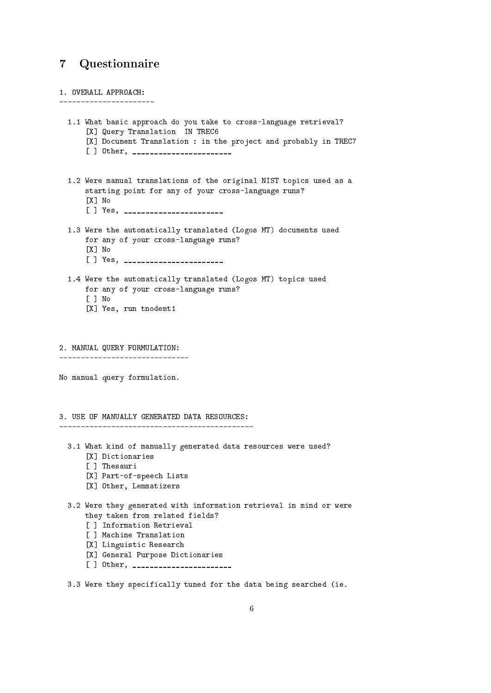# 7 Questionnaire

| 1. OVERALL APPROACH:                                                                                                                                                                                                                                                |  |
|---------------------------------------------------------------------------------------------------------------------------------------------------------------------------------------------------------------------------------------------------------------------|--|
| 1.1 What basic approach do you take to cross-language retrieval?<br>[X] Query Translation IN TREC6<br>[X] Document Translation : in the project and probably in TREC7<br>[ ] Other, ________________________                                                        |  |
| 1.2 Were manual translations of the original NIST topics used as a<br>starting point for any of your cross-language runs?<br>[X] No<br>[ ] Yes, ________________________                                                                                            |  |
| 1.3 Were the automatically translated (Logos MT) documents used<br>for any of your cross-language runs?<br>[X] No<br>[ ] Yes, ________________________                                                                                                              |  |
| 1.4 Were the automatically translated (Logos MT) topics used<br>for any of your cross-language runs?<br>I I No<br>[X] Yes, run tnodemt1                                                                                                                             |  |
| 2. MANUAL QUERY FORMULATION:                                                                                                                                                                                                                                        |  |
| No manual query formulation.                                                                                                                                                                                                                                        |  |
| 3. USE OF MANUALLY GENERATED DATA RESOURCES:<br>----------------------------------                                                                                                                                                                                  |  |
| 3.1 What kind of manually generated data resources were used?<br>[X] Dictionaries<br>[ ] Thesauri<br>[X] Part-of-speech Lists<br>[X] Other, Lemmatizers                                                                                                             |  |
| 3.2 Were they generated with information retrieval in mind or were<br>they taken from related fields?<br>[ ] Information Retrieval<br>[ ] Machine Translation<br>[X] Linguistic Research<br>[X] General Purpose Dictionaries<br>[ ] Other, ________________________ |  |
| 3.3 Were they specifically tuned for the data being searched (ie.                                                                                                                                                                                                   |  |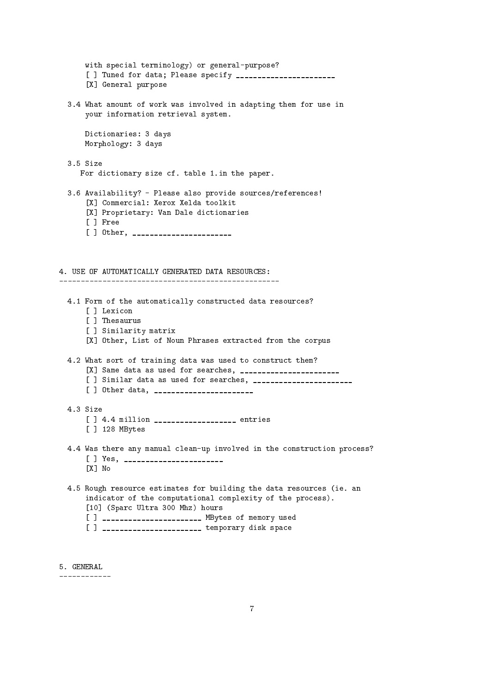```
with special terminology) or general-purpose?
      [ ] Tuned for data; Please specify _______________________
      [X] General purpose
 3.4 What amount of work was involved in adapting them for use in
     your information retrieval system.
     Dictionaries: 3 days
     Morphology: 3 days
 3.5 Size
    For dictionary size cf. table 1.in the paper.
 3.6 Availability? - Please also provide sources/references!
      [X] Commercial: Xerox Xelda toolkit
      [X] Proprietary: Van Dale dictionaries
      [ ] Free
      [ ] Other, _______________________
4. USE OF AUTOMATICALLY GENERATED DATA RESOURCES:
   4.1 Form of the automatically constructed data resources?
     [ ] Lexicon
      [ ] Thesaurus
      [ ] Similarity matrix
      [X] Other, List of Noun Phrases extracted from the corpus
 4.2 What sort of training data was used to construct them?
      [X] Same data as used for searches, _______________________
      [ ] Similar data as used for searches, _______________________
      [ ] Other data, _______________________
 4.3 Size
      [ ] 4.4 million ____________________ entries
      [ ] 128 MBytes
 4.4 Was there any manual clean-up involved in the construction process?
      [] Yes, ________________________
      [X] No
 4.5 Rough resource estimates for building the data resources (ie. an
      indicator of the computational complexity of the process).
      [10] (Sparc Ultra 300 Mhz) hours
      [ ] _____________________ MBytes of memory used
      [ ] ______________________ temporary disk space
```

```
5. GENERAL
```